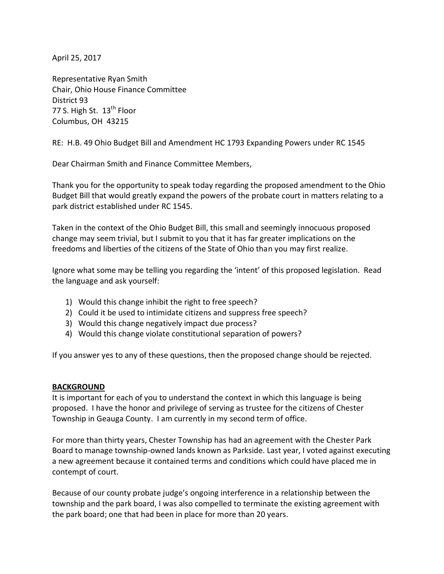April 25, 2017

Representative Ryan Smith Chair, Ohio House Finance Committee District 93 77 S. High St. 13<sup>th</sup> Floor Columbus, OH 43215

RE: H.B. 49 Ohio Budget Bill and Amendment HC 1793 Expanding Powers under RC 1545

Dear Chairman Smith and Finance Committee Members,

Thank you for the opportunity to speak today regarding the proposed amendment to the Ohio Budget Bill that would greatly expand the powers of the probate court in matters relating to a park district established under RC 1545.

Taken in the context of the Ohio Budget Bill, this small and seemingly innocuous proposed change may seem trivial, but I submit to you that it has far greater implications on the freedoms and liberties of the citizens of the State of Ohio than you may first realize.

Ignore what some may be telling you regarding the 'intent' of this proposed legislation. Read the language and ask yourself:

- 1) Would this change inhibit the right to free speech?
- 2) Could it be used to intimidate citizens and suppress free speech?
- 3) Would this change negatively impact due process?
- 4) Would this change violate constitutional separation of powers?

If you answer yes to any of these questions, then the proposed change should be rejected.

## **BACKGROUND**

It is important for each of you to understand the context in which this language is being proposed. I have the honor and privilege of serving as trustee for the citizens of Chester Township in Geauga County. I am currently in my second term of office.

For more than thirty years, Chester Township has had an agreement with the Chester Park Board to manage township-owned lands known as Parkside. Last year, I voted against executing a new agreement because it contained terms and conditions which could have placed me in contempt of court.

Because of our county probate judge's ongoing interference in a relationship between the township and the park board, I was also compelled to terminate the existing agreement with the park board; one that had been in place for more than 20 years.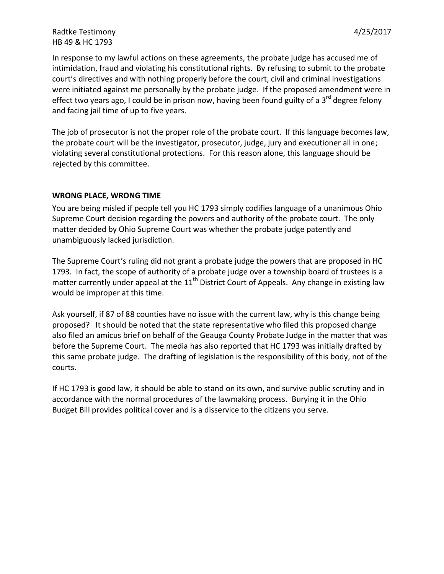# Radtke Testimony and the state of the state of the state of the 4/25/2017 HB 49 & HC 1793

In response to my lawful actions on these agreements, the probate judge has accused me of intimidation, fraud and violating his constitutional rights. By refusing to submit to the probate court's directives and with nothing properly before the court, civil and criminal investigations were initiated against me personally by the probate judge. If the proposed amendment were in effect two years ago, I could be in prison now, having been found guilty of a  $3^{rd}$  degree felony and facing jail time of up to five years.

The job of prosecutor is not the proper role of the probate court. If this language becomes law, the probate court will be the investigator, prosecutor, judge, jury and executioner all in one; violating several constitutional protections. For this reason alone, this language should be rejected by this committee.

## **WRONG PLACE, WRONG TIME**

You are being misled if people tell you HC 1793 simply codifies language of a unanimous Ohio Supreme Court decision regarding the powers and authority of the probate court. The only matter decided by Ohio Supreme Court was whether the probate judge patently and unambiguously lacked jurisdiction.

The Supreme Court's ruling did not grant a probate judge the powers that are proposed in HC 1793. In fact, the scope of authority of a probate judge over a township board of trustees is a matter currently under appeal at the 11<sup>th</sup> District Court of Appeals. Any change in existing law would be improper at this time.

Ask yourself, if 87 of 88 counties have no issue with the current law, why is this change being proposed? It should be noted that the state representative who filed this proposed change also filed an amicus brief on behalf of the Geauga County Probate Judge in the matter that was before the Supreme Court. The media has also reported that HC 1793 was initially drafted by this same probate judge. The drafting of legislation is the responsibility of this body, not of the courts.

If HC 1793 is good law, it should be able to stand on its own, and survive public scrutiny and in accordance with the normal procedures of the lawmaking process. Burying it in the Ohio Budget Bill provides political cover and is a disservice to the citizens you serve.